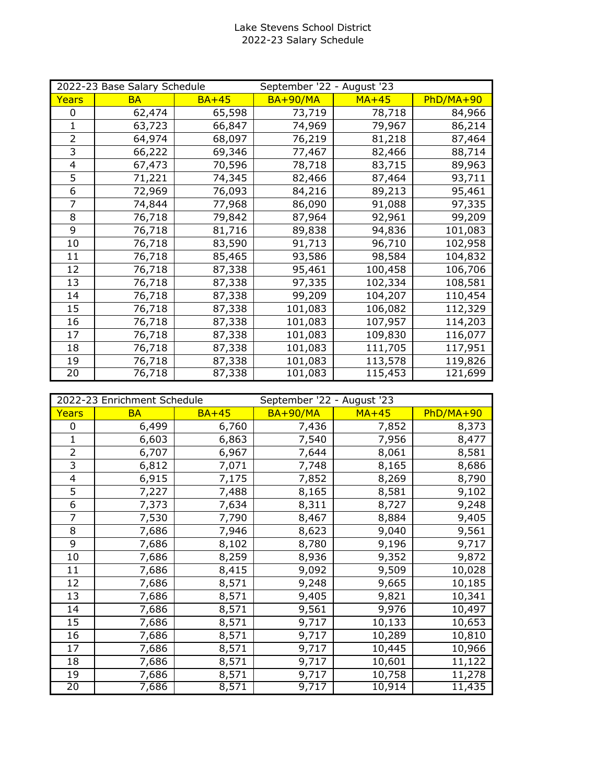## Lake Stevens School District 2022-23 Salary Schedule

| 2022-23 Base Salary Schedule |           |         | September '22 - August '23 |         |             |
|------------------------------|-----------|---------|----------------------------|---------|-------------|
| Years                        | <b>BA</b> | $BA+45$ | $BA+90/MA$                 | $MA+45$ | $PhD/MA+90$ |
| 0                            | 62,474    | 65,598  | 73,719                     | 78,718  | 84,966      |
| 1                            | 63,723    | 66,847  | 74,969                     | 79,967  | 86,214      |
| $\overline{2}$               | 64,974    | 68,097  | 76,219                     | 81,218  | 87,464      |
| 3                            | 66,222    | 69,346  | 77,467                     | 82,466  | 88,714      |
| 4                            | 67,473    | 70,596  | 78,718                     | 83,715  | 89,963      |
| 5                            | 71,221    | 74,345  | 82,466                     | 87,464  | 93,711      |
| 6                            | 72,969    | 76,093  | 84,216                     | 89,213  | 95,461      |
| 7                            | 74,844    | 77,968  | 86,090                     | 91,088  | 97,335      |
| 8                            | 76,718    | 79,842  | 87,964                     | 92,961  | 99,209      |
| 9                            | 76,718    | 81,716  | 89,838                     | 94,836  | 101,083     |
| 10                           | 76,718    | 83,590  | 91,713                     | 96,710  | 102,958     |
| 11                           | 76,718    | 85,465  | 93,586                     | 98,584  | 104,832     |
| 12                           | 76,718    | 87,338  | 95,461                     | 100,458 | 106,706     |
| 13                           | 76,718    | 87,338  | 97,335                     | 102,334 | 108,581     |
| 14                           | 76,718    | 87,338  | 99,209                     | 104,207 | 110,454     |
| 15                           | 76,718    | 87,338  | 101,083                    | 106,082 | 112,329     |
| 16                           | 76,718    | 87,338  | 101,083                    | 107,957 | 114,203     |
| 17                           | 76,718    | 87,338  | 101,083                    | 109,830 | 116,077     |
| 18                           | 76,718    | 87,338  | 101,083                    | 111,705 | 117,951     |
| 19                           | 76,718    | 87,338  | 101,083                    | 113,578 | 119,826     |
| 20                           | 76,718    | 87,338  | 101,083                    | 115,453 | 121,699     |

| 2022-23 Enrichment Schedule |           |         | September '22 - August '23 |         |             |
|-----------------------------|-----------|---------|----------------------------|---------|-------------|
| Years                       | <b>BA</b> | $BA+45$ | <b>BA+90/MA</b>            | $MA+45$ | $PhD/MA+90$ |
| 0                           | 6,499     | 6,760   | 7,436                      | 7,852   | 8,373       |
| $\mathbf{1}$                | 6,603     | 6,863   | 7,540                      | 7,956   | 8,477       |
| $\overline{2}$              | 6,707     | 6,967   | 7,644                      | 8,061   | 8,581       |
| 3                           | 6,812     | 7,071   | 7,748                      | 8,165   | 8,686       |
| 4                           | 6,915     | 7,175   | 7,852                      | 8,269   | 8,790       |
| 5                           | 7,227     | 7,488   | 8,165                      | 8,581   | 9,102       |
| 6                           | 7,373     | 7,634   | 8,311                      | 8,727   | 9,248       |
| 7                           | 7,530     | 7,790   | 8,467                      | 8,884   | 9,405       |
| 8                           | 7,686     | 7,946   | 8,623                      | 9,040   | 9,561       |
| $\overline{9}$              | 7,686     | 8,102   | 8,780                      | 9,196   | 9,717       |
| 10                          | 7,686     | 8,259   | 8,936                      | 9,352   | 9,872       |
| 11                          | 7,686     | 8,415   | 9,092                      | 9,509   | 10,028      |
| 12                          | 7,686     | 8,571   | 9,248                      | 9,665   | 10,185      |
| 13                          | 7,686     | 8,571   | 9,405                      | 9,821   | 10,341      |
| 14                          | 7,686     | 8,571   | 9,561                      | 9,976   | 10,497      |
| 15                          | 7,686     | 8,571   | 9,717                      | 10,133  | 10,653      |
| 16                          | 7,686     | 8,571   | 9,717                      | 10,289  | 10,810      |
| 17                          | 7,686     | 8,571   | 9,717                      | 10,445  | 10,966      |
| 18                          | 7,686     | 8,571   | 9,717                      | 10,601  | 11,122      |
| 19                          | 7,686     | 8,571   | 9,717                      | 10,758  | 11,278      |
| $\overline{20}$             | 7,686     | 8,571   | 9,717                      | 10,914  | 11,435      |